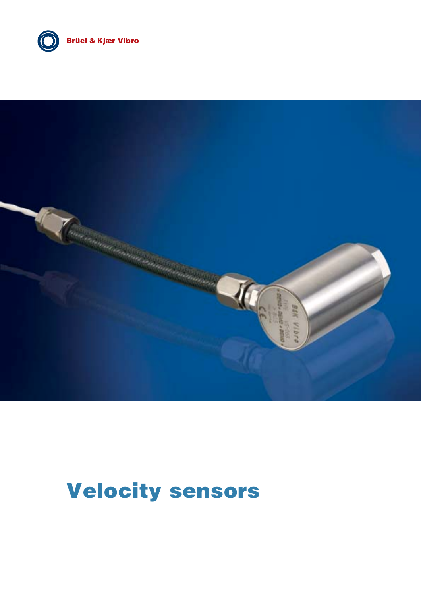

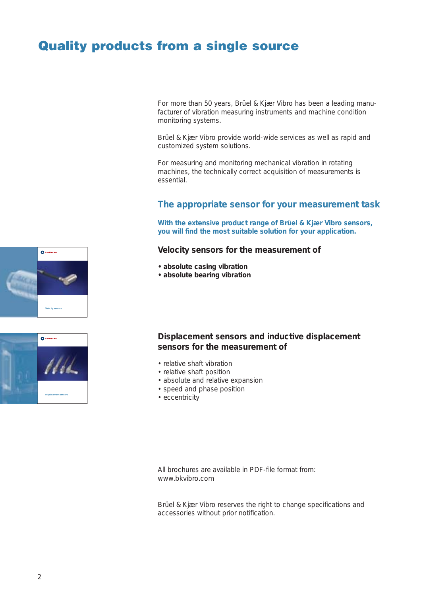### **Quality products from a single source**

For more than 50 years, Brüel & Kjær Vibro has been a leading manufacturer of vibration measuring instruments and machine condition monitoring systems.

Brüel & Kjær Vibro provide world-wide services as well as rapid and customized system solutions.

For measuring and monitoring mechanical vibration in rotating machines, the technically correct acquisition of measurements is essential.

#### **The appropriate sensor for your measurement task**

**With the extensive product range of Brüel & Kjær Vibro sensors, you will find the most suitable solution for your application.**

#### **Velocity sensors for the measurement of**

- **absolute casing vibration**
- **absolute bearing vibration**

#### **Displacement sensors and inductive displacement sensors for the measurement of**

- relative shaft vibration
- relative shaft position
- absolute and relative expansion
- speed and phase position
- eccentricity

All brochures are available in PDF-file format from: www.bkvibro.com

Brüel & Kjær Vibro reserves the right to change specifications and accessories without prior notification.



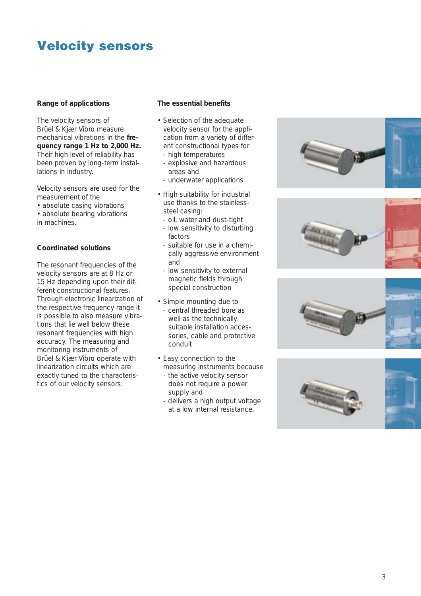#### **Range of applications**

The velocity sensors of Brüel & Kjær Vibro measure mechanical vibrations in the **frequency range 1 Hz to 2,000 Hz.** Their high level of reliability has been proven by long-term installations in industry.

Velocity sensors are used for the measurement of the

- absolute casing vibrations
- absolute bearing vibrations in machines.

#### **Coordinated solutions**

The resonant frequencies of the velocity sensors are at 8 Hz or 15 Hz depending upon their different constructional features. Through electronic linearization of the respective frequency range it is possible to also measure vibrations that lie well below these resonant frequencies with high accuracy. The measuring and monitoring instruments of Brüel & Kjær Vibro operate with linearization circuits which are exactly tuned to the characteristics of our velocity sensors.

#### **The essential benefits**

- Selection of the adequate velocity sensor for the application from a variety of different constructional types for
	- high temperatures
	- explosive and hazardous areas and
	- underwater applications
- High suitability for industrial use thanks to the stainlesssteel casing:
	- oil, water and dust-tight
	- low sensitivity to disturbing factors
	- suitable for use in a chemically aggressive environment and
	- low sensitivity to external magnetic fields through special construction
- Simple mounting due to - central threaded bore as well as the technically suitable installation accessories, cable and protective conduit
- Easy connection to the measuring instruments because
	- the active velocity sensor does not require a power supply and
	- delivers a high output voltage at a low internal resistance.







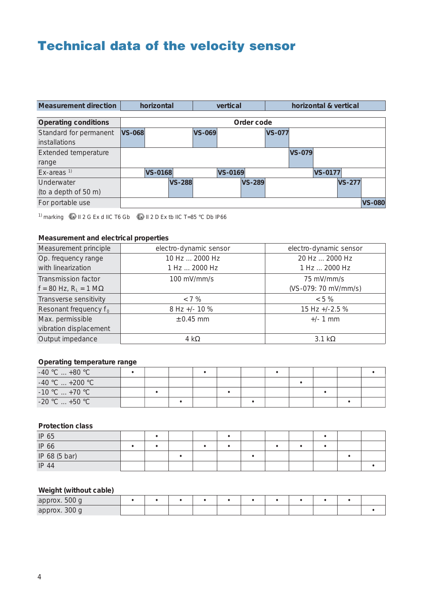## **Technical data of the velocity sensor**

| <b>Measurement direction</b> | horizontal    |                |               |               | vertical       |               |               | horizontal & vertical |                |               |               |
|------------------------------|---------------|----------------|---------------|---------------|----------------|---------------|---------------|-----------------------|----------------|---------------|---------------|
|                              |               |                |               |               |                |               |               |                       |                |               |               |
| <b>Operating conditions</b>  |               |                |               |               |                | Order code    |               |                       |                |               |               |
| Standard for permanent       | <b>VS-068</b> |                |               | <b>VS-069</b> |                |               | <b>VS-077</b> |                       |                |               |               |
| <i>installations</i>         |               |                |               |               |                |               |               |                       |                |               |               |
| <b>Extended temperature</b>  |               |                |               |               |                |               |               | <b>VS-079</b>         |                |               |               |
| range                        |               |                |               |               |                |               |               |                       |                |               |               |
| $Ex$ -areas <sup>1)</sup>    |               | <b>VS-0168</b> |               |               | <b>VS-0169</b> |               |               |                       | <b>VS-0177</b> |               |               |
| Underwater                   |               |                | <b>VS-288</b> |               |                | <b>VS-289</b> |               |                       |                | <b>VS-277</b> |               |
| (to a depth of 50 m)         |               |                |               |               |                |               |               |                       |                |               |               |
| For portable use             |               |                |               |               |                |               |               |                       |                |               | <b>VS-080</b> |

<sup>1)</sup> marking  $\bullet$  II 2 G Ex d IIC T6 Gb  $\bullet$  II 2 D Ex tb IIC T=85 °C Db IP66

#### **Measurement and electrical properties**

| Measurement principle                      | electro-dynamic sensor | electro-dynamic sensor |
|--------------------------------------------|------------------------|------------------------|
| Op. frequency range                        | 10 Hz  2000 Hz         | 20 Hz  2000 Hz         |
| with linearization                         | 1 Hz  2000 Hz          | 1 Hz  2000 Hz          |
| <b>Transmission factor</b>                 | $100$ mV/mm/s          | 75 mV/mm/s             |
| $f = 80$ Hz, R <sub>1</sub> = 1 M $\Omega$ |                        | (VS-079: 70 mV/mm/s)   |
| Transverse sensitivity                     | < 7%                   | $< 5 \%$               |
| Resonant frequency $f_0$                   | 8 Hz +/- 10 %          | 15 Hz +/-2.5 %         |
| Max. permissible                           | $\pm$ 0.45 mm          | $+/- 1$ mm             |
| vibration displacement                     |                        |                        |
| Output impedance                           | $4 \text{ k}\Omega$    | $3.1 \text{ k}\Omega$  |

#### **Operating temperature range**

| $-40$ °C $+80$ °C                               |  |  |  |  |  |  |
|-------------------------------------------------|--|--|--|--|--|--|
| $-40\,^{\circ}\text{C}$ +200 $^{\circ}\text{C}$ |  |  |  |  |  |  |
| $-10$ °C $$ +70 °C                              |  |  |  |  |  |  |
| $-20$ °C $$ +50 °C                              |  |  |  |  |  |  |

#### **Protection class**

| IP 65                  |  |  |  |  |  |  |
|------------------------|--|--|--|--|--|--|
| IP 66                  |  |  |  |  |  |  |
| IP 68 (5 bar)<br>IP 44 |  |  |  |  |  |  |
|                        |  |  |  |  |  |  |

#### **Weight (without cable)**

| approx. 500 g |  |  |  |  |  |  |
|---------------|--|--|--|--|--|--|
| approx. 300 g |  |  |  |  |  |  |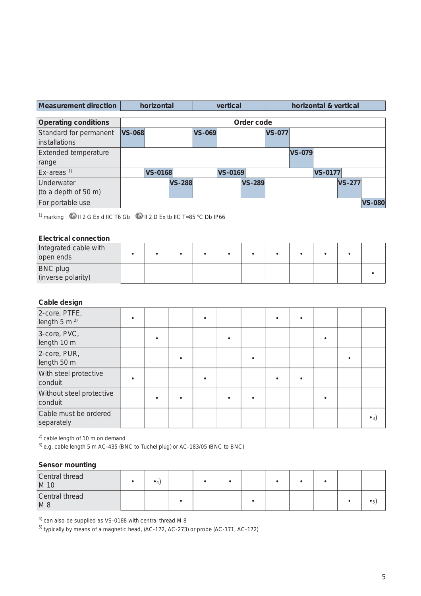| Measurement direction | horizontal | vertical | horizontal & vertical |
|-----------------------|------------|----------|-----------------------|
|                       |            |          |                       |

| <b>Operating conditions</b> |               | Order code     |               |               |                |               |               |               |                |               |               |
|-----------------------------|---------------|----------------|---------------|---------------|----------------|---------------|---------------|---------------|----------------|---------------|---------------|
| Standard for permanent      | <b>VS-068</b> |                |               | <b>VS-069</b> |                |               | <b>VS-077</b> |               |                |               |               |
| installations               |               |                |               |               |                |               |               |               |                |               |               |
| Extended temperature        |               |                |               |               |                |               |               | <b>VS-079</b> |                |               |               |
| range                       |               |                |               |               |                |               |               |               |                |               |               |
| $Ex$ -areas <sup>1)</sup>   |               | <b>VS-0168</b> |               |               | <b>VS-0169</b> |               |               |               | <b>VS-0177</b> |               |               |
| Underwater                  |               |                | <b>VS-288</b> |               |                | <b>VS-289</b> |               |               |                | <b>VS-277</b> |               |
| (to a depth of 50 m)        |               |                |               |               |                |               |               |               |                |               |               |
| For portable use            |               |                |               |               |                |               |               |               |                |               | <b>VS-080</b> |

<sup>1)</sup> marking  $\bigcirc$  II 2 G Ex d IIC T6 Gb  $\bigcirc$  II 2 D Ex tb IIC T=85 °C Db IP66

#### **Electrical connection**

| Integrated cable with<br>open ends    |  |  |  |  |  |  |
|---------------------------------------|--|--|--|--|--|--|
| <b>BNC plug</b><br>(inverse polarity) |  |  |  |  |  |  |

#### **Cable design**

| 2-core, PTFE,<br>length $5 \text{ m}$ <sup>2)</sup> |  |  |  |  |  |                |
|-----------------------------------------------------|--|--|--|--|--|----------------|
| 3-core, PVC,<br>length 10 m                         |  |  |  |  |  |                |
| 2-core, PUR,<br>length 50 m                         |  |  |  |  |  |                |
| With steel protective<br>conduit                    |  |  |  |  |  |                |
| Without steel protective<br>conduit                 |  |  |  |  |  |                |
| Cable must be ordered<br>separately                 |  |  |  |  |  | $^{\bullet}$ 3 |

<sup>2)</sup> cable length of 10 m on demand

 $3)$  e.g. cable length 5 m AC-435 (BNC to Tuchel plug) or AC-183/05 (BNC to BNC)

#### **Sensor mounting**

| Central thread<br>M 10 |  |  |  |  |  |  |
|------------------------|--|--|--|--|--|--|
| Central thread<br>M8   |  |  |  |  |  |  |

 $4)$  can also be supplied as VS-0188 with central thread M 8

 $^{5)}$  typically by means of a magnetic head, (AC-172, AC-273) or probe (AC-171, AC-172)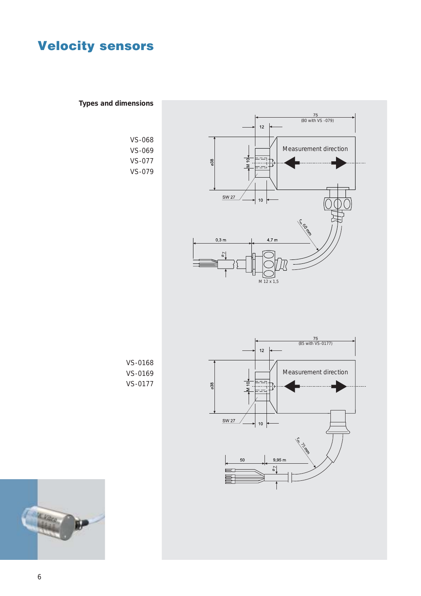

**Types and dimensions**

**AL Vibra**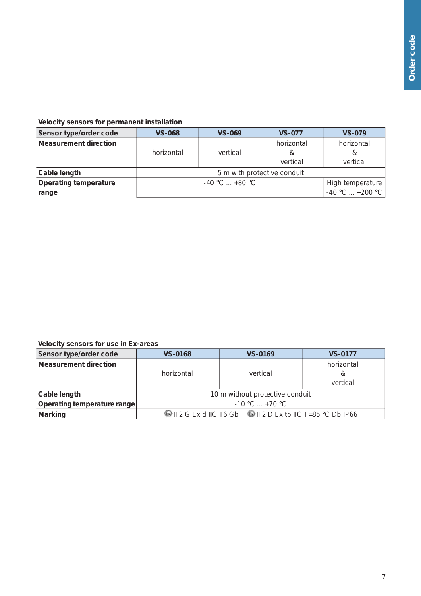#### **Velocity sensors for permanent installation**

| Sensor type/order code                | <b>VS-068</b> | <b>VS-069</b>               | <b>VS-077</b>               | <b>VS-079</b>                         |
|---------------------------------------|---------------|-----------------------------|-----------------------------|---------------------------------------|
| <b>Measurement direction</b>          | horizontal    | vertical                    | horizontal<br>&<br>vertical | horizontal<br>&<br>vertical           |
| Cable length                          |               | 5 m with protective conduit |                             |                                       |
| <b>Operating temperature</b><br>range |               | $-40$ °C $+80$ °C           |                             | High temperature<br>$-40 °C  +200 °C$ |

#### **Velocity sensors for use in Ex-areas**

| Sensor type/order code       | <b>VS-0168</b>      | <b>VS-0169</b>                                                    | <b>VS-0177</b>              |  |  |  |  |
|------------------------------|---------------------|-------------------------------------------------------------------|-----------------------------|--|--|--|--|
| <b>Measurement direction</b> | horizontal          | vertical                                                          | horizontal<br>&<br>vertical |  |  |  |  |
| Cable length                 |                     | 10 m without protective conduit                                   |                             |  |  |  |  |
| Operating temperature range  | $-10$ °C $ + 70$ °C |                                                                   |                             |  |  |  |  |
| <b>Marking</b>               |                     | <b>©</b> II 2 G Ex d IIC T6 Gb © II 2 D Ex tb IIC T=85 °C Db IP66 |                             |  |  |  |  |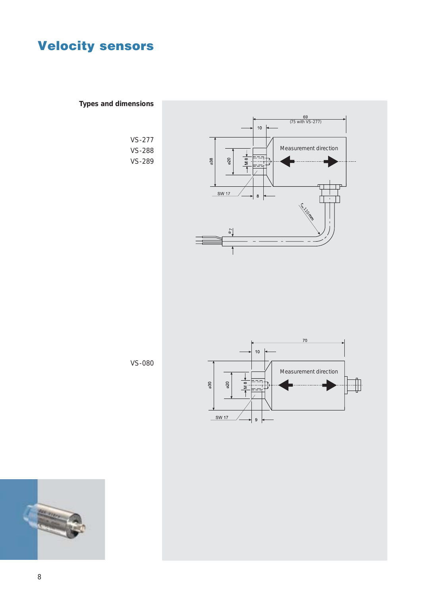**Types and dimensions**

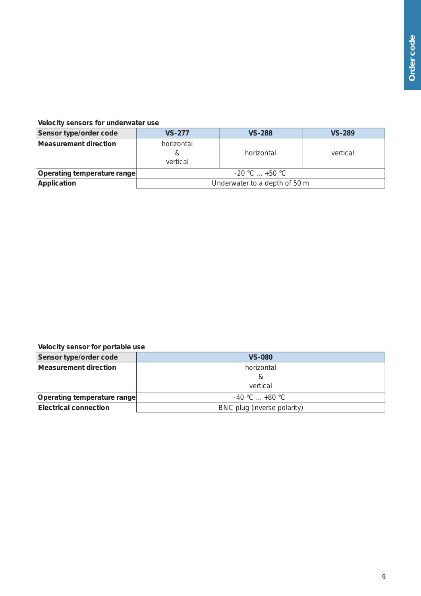#### **Velocity sensors for underwater use**

| Sensor type/order code       | <b>VS-277</b>                 | <b>VS-288</b> | <b>VS-289</b> |
|------------------------------|-------------------------------|---------------|---------------|
| <b>Measurement direction</b> | horizontal<br>&<br>vertical   | horizontal    | vertical      |
| Operating temperature range  | $-20$ °C $$ +50 °C            |               |               |
| Application                  | Underwater to a depth of 50 m |               |               |

#### **Velocity sensor for portable use**

| Sensor type/order code       | <b>VS-080</b>               |  |
|------------------------------|-----------------------------|--|
| Measurement direction        | horizontal                  |  |
|                              | &                           |  |
|                              | vertical                    |  |
| Operating temperature range  | $-40$ °C $+80$ °C           |  |
| <b>Electrical connection</b> | BNC plug (inverse polarity) |  |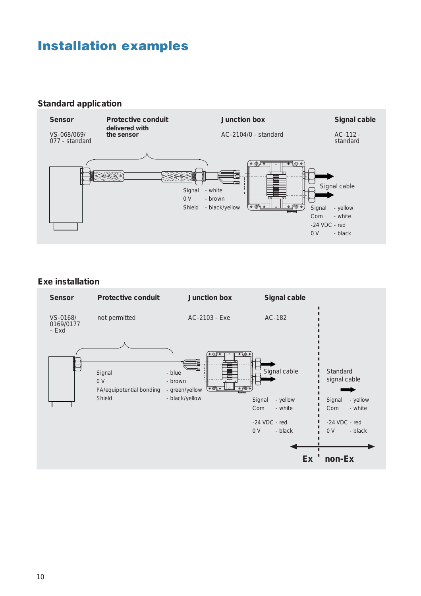### **Installation examples**

#### **Standard application**



#### **Exe installation**

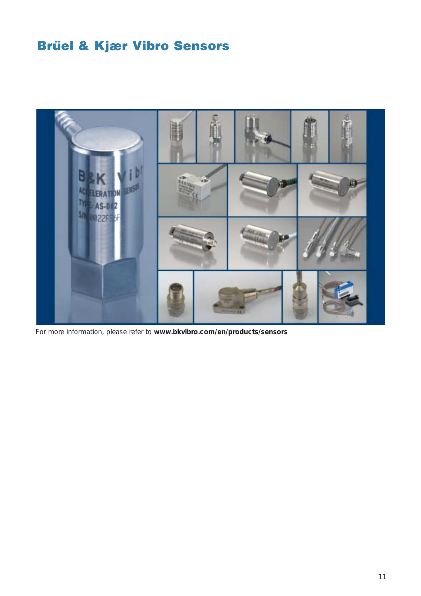# **Brüel & Kjær Vibro Sensors**



For more information, please refer to **www.bkvibro.com/en/products/sensors**